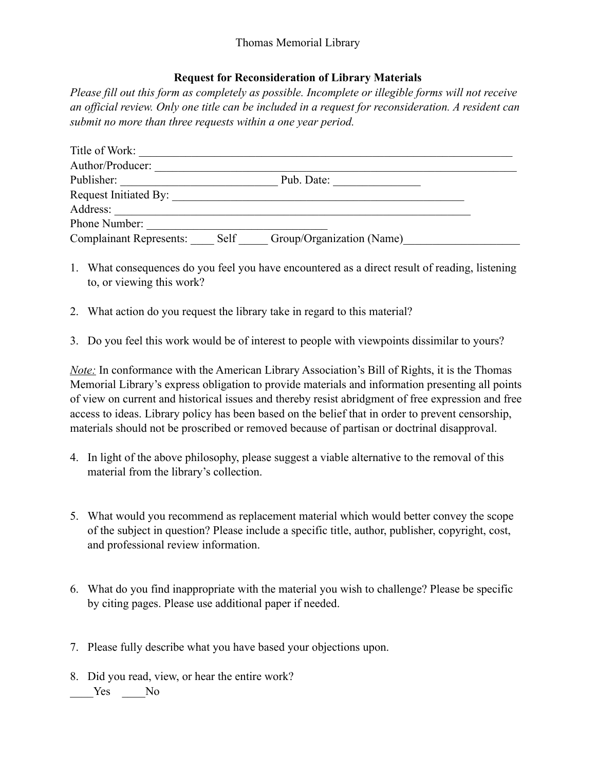## **Request for Reconsideration of Library Materials**

*Please fill out this form as completely as possible. Incomplete or illegible forms will not receive an official review. Only one title can be included in a request for reconsideration. A resident can submit no more than three requests within a one year period.*

- 1. What consequences do you feel you have encountered as a direct result of reading, listening to, or viewing this work?
- 2. What action do you request the library take in regard to this material?
- 3. Do you feel this work would be of interest to people with viewpoints dissimilar to yours?

*Note:* In conformance with the American Library Association's Bill of Rights, it is the Thomas Memorial Library's express obligation to provide materials and information presenting all points of view on current and historical issues and thereby resist abridgment of free expression and free access to ideas. Library policy has been based on the belief that in order to prevent censorship, materials should not be proscribed or removed because of partisan or doctrinal disapproval.

- 4. In light of the above philosophy, please suggest a viable alternative to the removal of this material from the library's collection.
- 5. What would you recommend as replacement material which would better convey the scope of the subject in question? Please include a specific title, author, publisher, copyright, cost, and professional review information.
- 6. What do you find inappropriate with the material you wish to challenge? Please be specific by citing pages. Please use additional paper if needed.
- 7. Please fully describe what you have based your objections upon.
- 8. Did you read, view, or hear the entire work? Yes No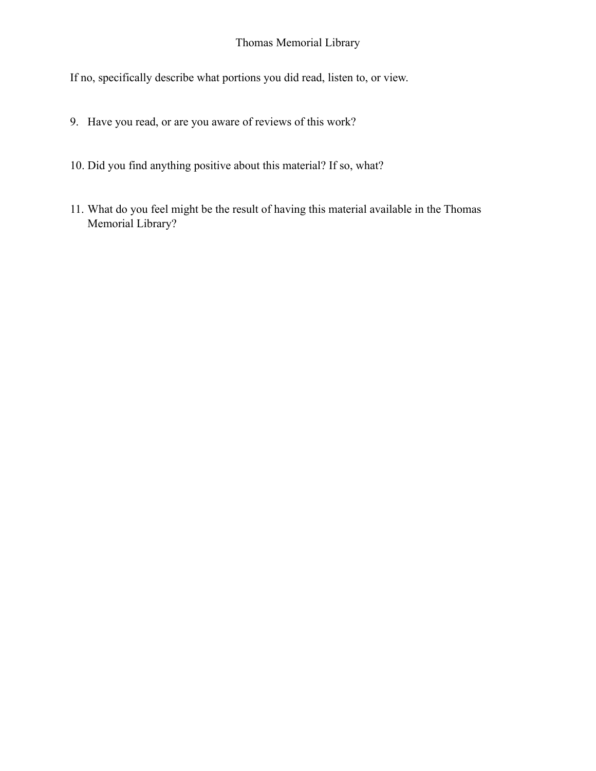If no, specifically describe what portions you did read, listen to, or view.

- 9. Have you read, or are you aware of reviews of this work?
- 10. Did you find anything positive about this material? If so, what?
- 11. What do you feel might be the result of having this material available in the Thomas Memorial Library?